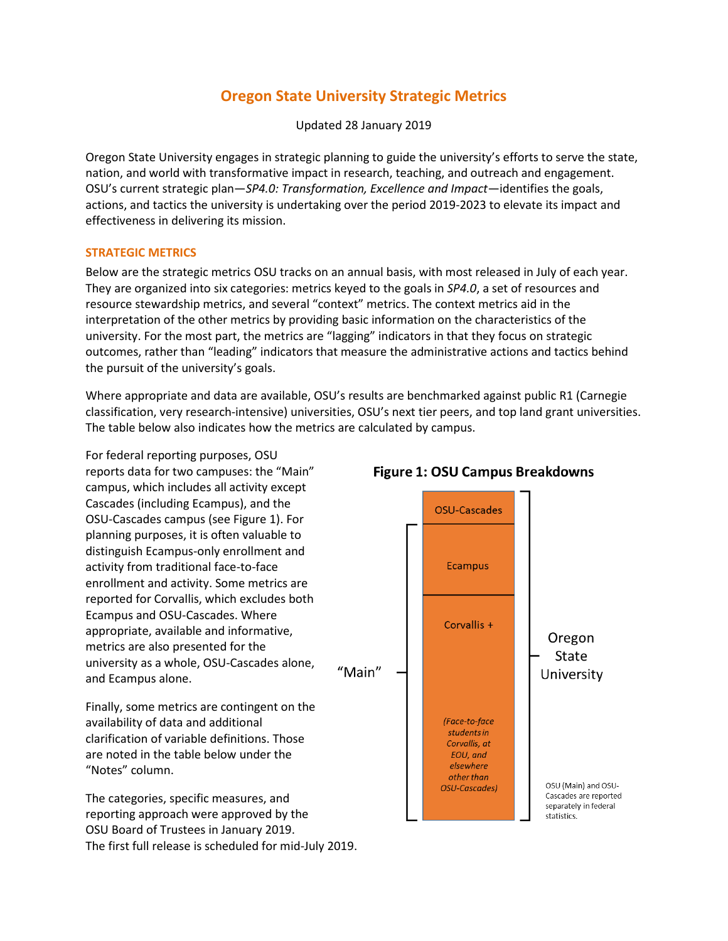# **Oregon State University Strategic Metrics**

Updated 28 January 2019

Oregon State University engages in strategic planning to guide the university's efforts to serve the state, nation, and world with transformative impact in research, teaching, and outreach and engagement. OSU's current strategic plan—*SP4.0: Transformation, Excellence and Impact*—identifies the goals, actions, and tactics the university is undertaking over the period 2019-2023 to elevate its impact and effectiveness in delivering its mission.

### **STRATEGIC METRICS**

Below are the strategic metrics OSU tracks on an annual basis, with most released in July of each year. They are organized into six categories: metrics keyed to the goals in *SP4.0*, a set of resources and resource stewardship metrics, and several "context" metrics. The context metrics aid in the interpretation of the other metrics by providing basic information on the characteristics of the university. For the most part, the metrics are "lagging" indicators in that they focus on strategic outcomes, rather than "leading" indicators that measure the administrative actions and tactics behind the pursuit of the university's goals.

Where appropriate and data are available, OSU's results are benchmarked against public R1 (Carnegie classification, very research-intensive) universities, OSU's next tier peers, and top land grant universities. The table below also indicates how the metrics are calculated by campus.

For federal reporting purposes, OSU reports data for two campuses: the "Main" campus, which includes all activity except Cascades (including Ecampus), and the OSU-Cascades campus (see Figure 1). For planning purposes, it is often valuable to distinguish Ecampus-only enrollment and activity from traditional face-to-face enrollment and activity. Some metrics are reported for Corvallis, which excludes both Ecampus and OSU-Cascades. Where appropriate, available and informative, metrics are also presented for the university as a whole, OSU-Cascades alone, and Ecampus alone.

Finally, some metrics are contingent on the availability of data and additional clarification of variable definitions. Those are noted in the table below under the "Notes" column.

The categories, specific measures, and reporting approach were approved by the OSU Board of Trustees in January 2019. The first full release is scheduled for mid-July 2019.



## **Figure 1: OSU Campus Breakdowns**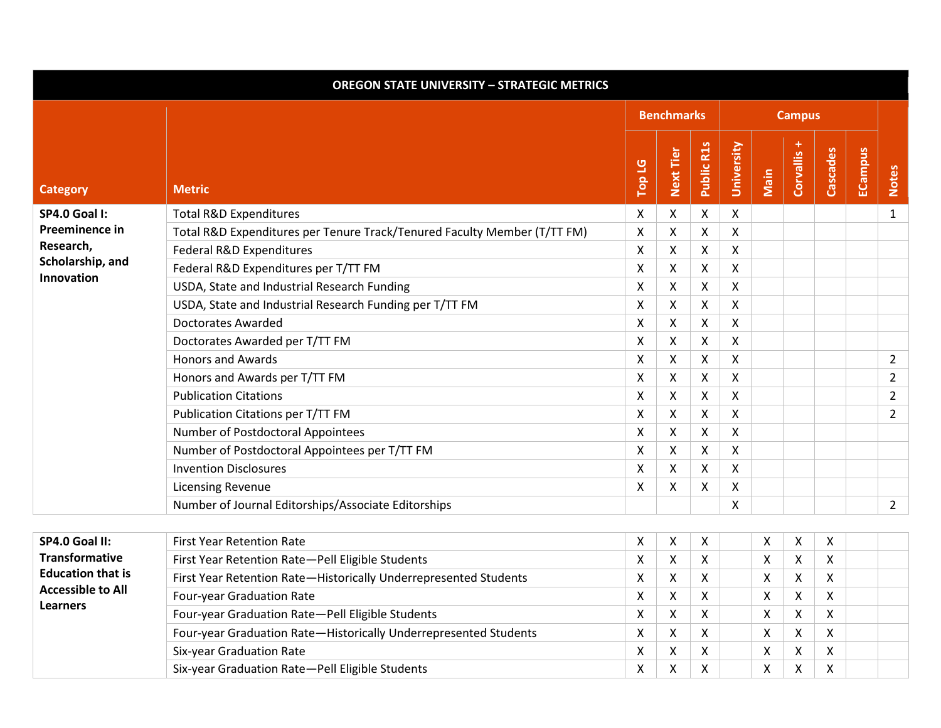|                                                                                                  | <b>OREGON STATE UNIVERSITY - STRATEGIC METRICS</b>                       |                    |                    |                    |                |                    |                    |                    |         |                |
|--------------------------------------------------------------------------------------------------|--------------------------------------------------------------------------|--------------------|--------------------|--------------------|----------------|--------------------|--------------------|--------------------|---------|----------------|
|                                                                                                  |                                                                          | <b>Benchmarks</b>  |                    |                    | <b>Campus</b>  |                    |                    |                    |         |                |
| <b>Category</b>                                                                                  | <b>Metric</b>                                                            | <b>Top LG</b>      | <b>Next Tier</b>   | <b>Public R1s</b>  | University     | Main               | Corvallis +        | Cascades           | ECampus | <b>Notes</b>   |
| SP4.0 Goal I:                                                                                    | <b>Total R&amp;D Expenditures</b>                                        | X                  | X                  | X                  | $\mathsf{X}$   |                    |                    |                    |         | $\mathbf{1}$   |
| <b>Preeminence in</b>                                                                            | Total R&D Expenditures per Tenure Track/Tenured Faculty Member (T/TT FM) | X                  | X                  | X                  | $\pmb{\times}$ |                    |                    |                    |         |                |
| Research,                                                                                        | Federal R&D Expenditures                                                 | X                  | X                  | Χ                  | $\mathsf{X}$   |                    |                    |                    |         |                |
| Scholarship, and                                                                                 | Federal R&D Expenditures per T/TT FM                                     | X                  | X                  | X                  | $\mathsf{X}$   |                    |                    |                    |         |                |
| Innovation                                                                                       | USDA, State and Industrial Research Funding                              | X                  | X                  | $\pmb{\mathsf{X}}$ | $\pmb{\times}$ |                    |                    |                    |         |                |
|                                                                                                  | USDA, State and Industrial Research Funding per T/TT FM                  | X                  | X                  | X                  | $\mathsf{X}$   |                    |                    |                    |         |                |
|                                                                                                  | <b>Doctorates Awarded</b>                                                | X                  | X                  | X                  | $\mathsf{X}$   |                    |                    |                    |         |                |
|                                                                                                  | Doctorates Awarded per T/TT FM                                           | X                  | X                  | X                  | X              |                    |                    |                    |         |                |
|                                                                                                  | <b>Honors and Awards</b>                                                 | X                  | X                  | X                  | $\pmb{\times}$ |                    |                    |                    |         | $\overline{2}$ |
|                                                                                                  | Honors and Awards per T/TT FM                                            | X                  | X                  | X                  | $\mathsf{X}$   |                    |                    |                    |         | $\overline{2}$ |
|                                                                                                  | <b>Publication Citations</b>                                             | X                  | X                  | X                  | $\mathsf{X}$   |                    |                    |                    |         | $\overline{2}$ |
|                                                                                                  | Publication Citations per T/TT FM                                        | X                  | X                  | X                  | X              |                    |                    |                    |         | $\overline{2}$ |
|                                                                                                  | Number of Postdoctoral Appointees                                        | X                  | X                  | X                  | $\mathsf{x}$   |                    |                    |                    |         |                |
|                                                                                                  | Number of Postdoctoral Appointees per T/TT FM                            | X                  | X                  | X                  | $\mathsf{x}$   |                    |                    |                    |         |                |
|                                                                                                  | <b>Invention Disclosures</b>                                             | X                  | X                  | X                  | $\pmb{\times}$ |                    |                    |                    |         |                |
|                                                                                                  | <b>Licensing Revenue</b>                                                 | X                  | X                  | X                  | X              |                    |                    |                    |         |                |
|                                                                                                  | Number of Journal Editorships/Associate Editorships                      |                    |                    |                    | $\mathsf{x}$   |                    |                    |                    |         | $\overline{2}$ |
|                                                                                                  |                                                                          |                    |                    |                    |                |                    |                    |                    |         |                |
| SP4.0 Goal II:                                                                                   | <b>First Year Retention Rate</b>                                         | X                  | X                  | X                  |                | X                  | X                  | X                  |         |                |
| <b>Transformative</b><br><b>Education that is</b><br><b>Accessible to All</b><br><b>Learners</b> | First Year Retention Rate-Pell Eligible Students                         | X                  | X                  | X                  |                | X                  | X                  | X                  |         |                |
|                                                                                                  | First Year Retention Rate-Historically Underrepresented Students         | X                  | $\pmb{\mathsf{X}}$ | Χ                  |                | X                  | $\pmb{\mathsf{X}}$ | $\pmb{\mathsf{X}}$ |         |                |
|                                                                                                  | Four-year Graduation Rate                                                | X                  | X                  | X                  |                | X                  | $\pmb{\times}$     | X                  |         |                |
|                                                                                                  | Four-year Graduation Rate-Pell Eligible Students                         | X                  | X                  | X                  |                | X                  | $\pmb{\mathsf{X}}$ | $\pmb{\mathsf{X}}$ |         |                |
|                                                                                                  | Four-year Graduation Rate-Historically Underrepresented Students         | X                  | X                  | X                  |                | X                  | X                  | X                  |         |                |
|                                                                                                  | Six-year Graduation Rate                                                 | $\pmb{\mathsf{X}}$ | $\pmb{\mathsf{X}}$ | X                  |                | $\pmb{\mathsf{X}}$ | $\pmb{\mathsf{X}}$ | Χ                  |         |                |
|                                                                                                  | Six-year Graduation Rate-Pell Eligible Students                          | X                  | $\pmb{\mathsf{X}}$ | Χ                  |                | X                  | X                  | $\pmb{\times}$     |         |                |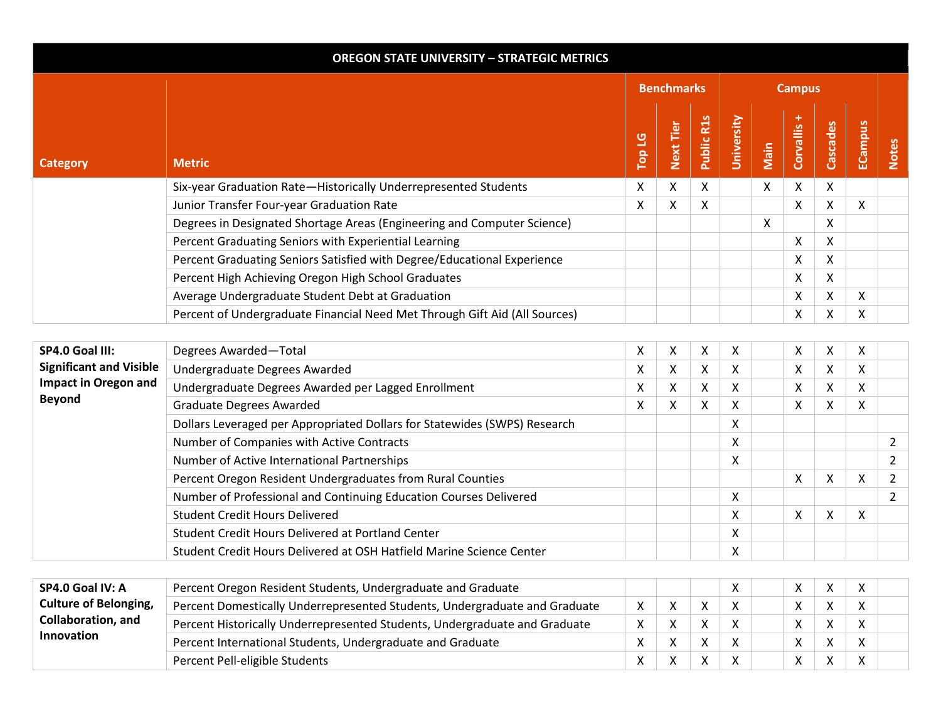|                                                                                | <b>OREGON STATE UNIVERSITY - STRATEGIC METRICS</b>                         |             |                                    |                   |            |      |             |              |              |                |
|--------------------------------------------------------------------------------|----------------------------------------------------------------------------|-------------|------------------------------------|-------------------|------------|------|-------------|--------------|--------------|----------------|
|                                                                                |                                                                            |             | <b>Benchmarks</b><br><b>Campus</b> |                   |            |      |             |              |              |                |
| <b>Category</b>                                                                | <b>Metric</b>                                                              | <b>Dido</b> | Next Tier                          | <b>Public R1s</b> | University | Main | Corvallis + | Cascades     | ECampus      | <b>Notes</b>   |
|                                                                                | Six-year Graduation Rate-Historically Underrepresented Students            | X           | X                                  | X                 |            | X    | X           | X            |              |                |
|                                                                                | Junior Transfer Four-year Graduation Rate                                  | X           | X                                  | X                 |            |      | x           | X            | $\mathsf{X}$ |                |
|                                                                                | Degrees in Designated Shortage Areas (Engineering and Computer Science)    |             |                                    |                   |            | X    |             | X            |              |                |
|                                                                                | Percent Graduating Seniors with Experiential Learning                      |             |                                    |                   |            |      | X           | X            |              |                |
|                                                                                | Percent Graduating Seniors Satisfied with Degree/Educational Experience    |             |                                    |                   |            |      | X           | $\mathsf{X}$ |              |                |
|                                                                                | Percent High Achieving Oregon High School Graduates                        |             |                                    |                   |            |      | X           | X            |              |                |
|                                                                                | Average Undergraduate Student Debt at Graduation                           |             |                                    |                   |            |      | X           | X            | X            |                |
|                                                                                | Percent of Undergraduate Financial Need Met Through Gift Aid (All Sources) |             |                                    |                   |            |      | Χ           | X            | X            |                |
|                                                                                |                                                                            |             |                                    |                   |            |      |             |              |              |                |
| SP4.0 Goal III:                                                                | Degrees Awarded-Total                                                      | X           | X                                  | X                 | X          |      | X           | X            | X            |                |
| <b>Significant and Visible</b><br><b>Impact in Oregon and</b><br><b>Beyond</b> | Undergraduate Degrees Awarded                                              | X           | X                                  | X                 | X          |      | Χ           | X            | X            |                |
|                                                                                | Undergraduate Degrees Awarded per Lagged Enrollment                        | X           | X                                  | X                 | X          |      | X           | X            | X            |                |
|                                                                                | <b>Graduate Degrees Awarded</b>                                            | X           | X                                  | X                 | X          |      | x           | X            | X            |                |
|                                                                                | Dollars Leveraged per Appropriated Dollars for Statewides (SWPS) Research  |             |                                    |                   | X          |      |             |              |              |                |
|                                                                                | Number of Companies with Active Contracts                                  |             |                                    |                   | X          |      |             |              |              | $\overline{2}$ |
|                                                                                | Number of Active International Partnerships                                |             |                                    |                   | X          |      |             |              |              | $\overline{2}$ |
|                                                                                | Percent Oregon Resident Undergraduates from Rural Counties                 |             |                                    |                   |            |      | Χ           | X            | X            | $\overline{2}$ |
|                                                                                | Number of Professional and Continuing Education Courses Delivered          |             |                                    |                   | X          |      |             |              |              | $\overline{2}$ |
|                                                                                | <b>Student Credit Hours Delivered</b>                                      |             |                                    |                   | X          |      | X           | X            | X            |                |
|                                                                                | Student Credit Hours Delivered at Portland Center                          |             |                                    |                   | X          |      |             |              |              |                |
|                                                                                | Student Credit Hours Delivered at OSH Hatfield Marine Science Center       |             |                                    |                   | X          |      |             |              |              |                |
|                                                                                |                                                                            |             |                                    |                   |            |      |             |              |              |                |
| SP4.0 Goal IV: A                                                               | Percent Oregon Resident Students, Undergraduate and Graduate               |             |                                    |                   | X          |      | Χ           | X            | $\mathsf{X}$ |                |
| <b>Culture of Belonging,</b>                                                   | Percent Domestically Underrepresented Students, Undergraduate and Graduate | X           | X                                  | X                 | X          |      | X           | X            | X            |                |
| Collaboration, and                                                             | Percent Historically Underrepresented Students, Undergraduate and Graduate | X           | X                                  | X                 | X          |      | X           | X            | X            |                |
| Innovation                                                                     | Percent International Students, Undergraduate and Graduate                 | X           | X                                  | X                 | X          |      | X           | Χ            | X            |                |
|                                                                                | Percent Pell-eligible Students                                             | X           | X                                  | X                 | X          |      | X           | X            | X            |                |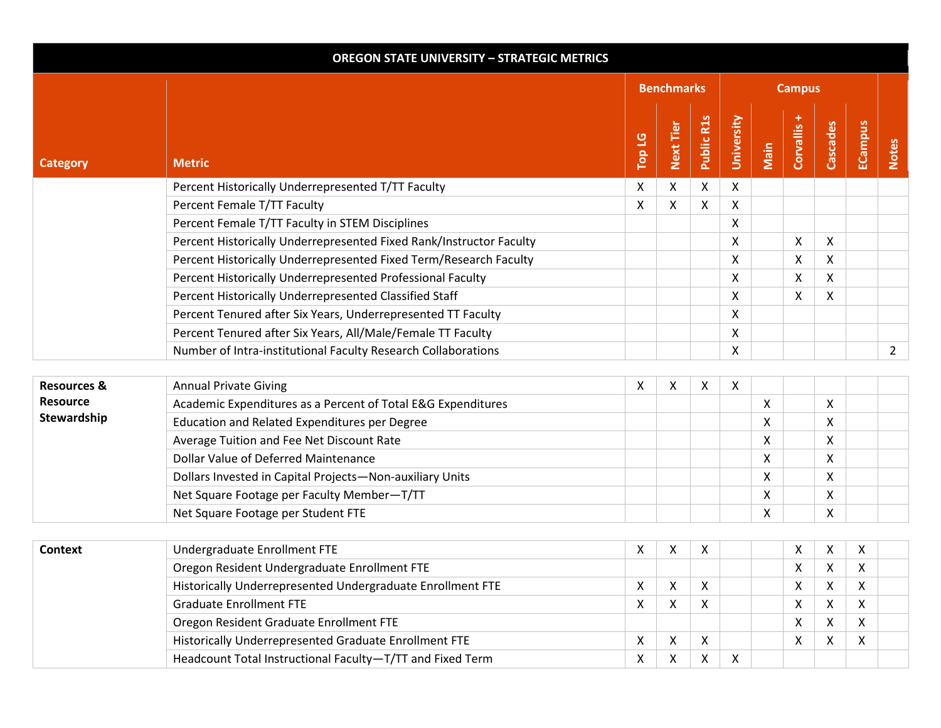|                                | <b>OREGON STATE UNIVERSITY - STRATEGIC METRICS</b>                  |              |                   |                   |               |      |                        |          |                |                |
|--------------------------------|---------------------------------------------------------------------|--------------|-------------------|-------------------|---------------|------|------------------------|----------|----------------|----------------|
|                                |                                                                     |              | <b>Benchmarks</b> |                   | <b>Campus</b> |      |                        |          |                |                |
| <b>Category</b>                | <b>Metric</b>                                                       | Top LG       | Next Tier         | <b>Public R1s</b> | University    | Main | Corvallis <sub>+</sub> | Cascades | <b>ECampus</b> | <b>Notes</b>   |
|                                | Percent Historically Underrepresented T/TT Faculty                  | $\mathsf{X}$ | X                 | X                 | $\mathsf{X}$  |      |                        |          |                |                |
|                                | Percent Female T/TT Faculty                                         | Χ            | X                 | X                 | X             |      |                        |          |                |                |
|                                | Percent Female T/TT Faculty in STEM Disciplines                     |              |                   |                   | X             |      |                        |          |                |                |
|                                | Percent Historically Underrepresented Fixed Rank/Instructor Faculty |              |                   |                   | X             |      | X                      | X        |                |                |
|                                | Percent Historically Underrepresented Fixed Term/Research Faculty   |              |                   |                   | X             |      | X                      | X        |                |                |
|                                | Percent Historically Underrepresented Professional Faculty          |              |                   |                   | X             |      | X                      | X        |                |                |
|                                | Percent Historically Underrepresented Classified Staff              |              |                   |                   | X             |      | X                      | X        |                |                |
|                                | Percent Tenured after Six Years, Underrepresented TT Faculty        |              |                   |                   | X             |      |                        |          |                |                |
|                                | Percent Tenured after Six Years, All/Male/Female TT Faculty         |              |                   |                   | X             |      |                        |          |                |                |
|                                | Number of Intra-institutional Faculty Research Collaborations       |              |                   |                   | X             |      |                        |          |                | $\overline{2}$ |
|                                |                                                                     |              |                   |                   |               |      |                        |          |                |                |
| <b>Resources &amp;</b>         | <b>Annual Private Giving</b>                                        | X            | X                 | X                 | $\mathsf{X}$  |      |                        |          |                |                |
| <b>Resource</b><br>Stewardship | Academic Expenditures as a Percent of Total E&G Expenditures        |              |                   |                   |               | X    |                        | X        |                |                |
|                                | Education and Related Expenditures per Degree                       |              |                   |                   |               | X    |                        | X.       |                |                |
|                                | Average Tuition and Fee Net Discount Rate                           |              |                   |                   |               | X    |                        | X        |                |                |
|                                | Dollar Value of Deferred Maintenance                                |              |                   |                   |               | X    |                        | X.       |                |                |
|                                | Dollars Invested in Capital Projects-Non-auxiliary Units            |              |                   |                   |               | X    |                        | X        |                |                |
|                                | Net Square Footage per Faculty Member-T/TT                          |              |                   |                   |               | X    |                        | X        |                |                |
|                                | Net Square Footage per Student FTE                                  |              |                   |                   |               | X    |                        | X        |                |                |
|                                |                                                                     |              |                   |                   |               |      |                        |          |                |                |
| <b>Context</b>                 | Undergraduate Enrollment FTE                                        | Χ            | X.                | x                 |               |      | X                      | X        | X              |                |
|                                | Oregon Resident Undergraduate Enrollment FTE                        |              |                   |                   |               |      | X                      | Χ        | X              |                |
|                                | Historically Underrepresented Undergraduate Enrollment FTE          | X            | X                 | X                 |               |      | X                      | X        | X              |                |
|                                | <b>Graduate Enrollment FTE</b>                                      | X            | X                 | X                 |               |      | X                      | Χ        | X              |                |
|                                | Oregon Resident Graduate Enrollment FTE                             |              |                   |                   |               |      | X                      | X        | X              |                |
|                                | Historically Underrepresented Graduate Enrollment FTE               | $\mathsf{X}$ | $\mathsf{X}$      | $\mathsf{X}$      |               |      | X                      | X        | X              |                |
|                                | Headcount Total Instructional Faculty-T/TT and Fixed Term           | $\mathsf{X}$ | X                 | X                 | $\mathsf{X}$  |      |                        |          |                |                |